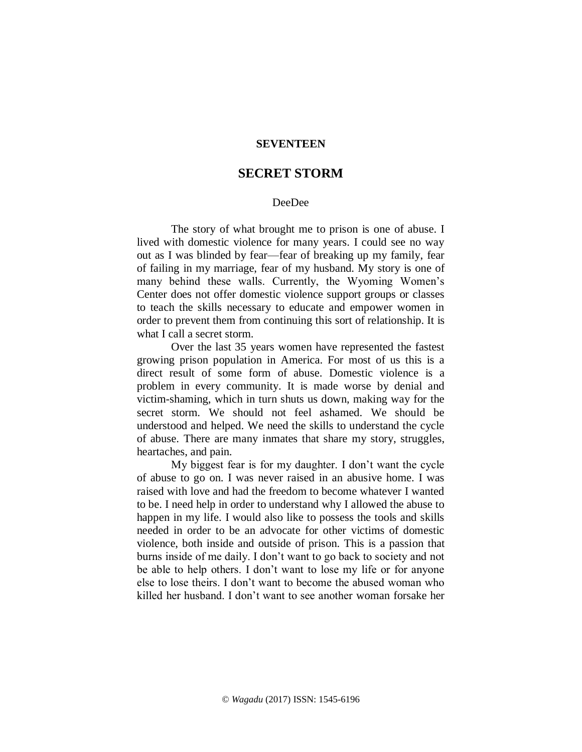## **SEVENTEEN**

## **SECRET STORM**

## DeeDee

The story of what brought me to prison is one of abuse. I lived with domestic violence for many years. I could see no way out as I was blinded by fear—fear of breaking up my family, fear of failing in my marriage, fear of my husband. My story is one of many behind these walls. Currently, the Wyoming Women's Center does not offer domestic violence support groups or classes to teach the skills necessary to educate and empower women in order to prevent them from continuing this sort of relationship. It is what I call a secret storm.

Over the last 35 years women have represented the fastest growing prison population in America. For most of us this is a direct result of some form of abuse. Domestic violence is a problem in every community. It is made worse by denial and victim-shaming, which in turn shuts us down, making way for the secret storm. We should not feel ashamed. We should be understood and helped. We need the skills to understand the cycle of abuse. There are many inmates that share my story, struggles, heartaches, and pain.

My biggest fear is for my daughter. I don't want the cycle of abuse to go on. I was never raised in an abusive home. I was raised with love and had the freedom to become whatever I wanted to be. I need help in order to understand why I allowed the abuse to happen in my life. I would also like to possess the tools and skills needed in order to be an advocate for other victims of domestic violence, both inside and outside of prison. This is a passion that burns inside of me daily. I don't want to go back to society and not be able to help others. I don't want to lose my life or for anyone else to lose theirs. I don't want to become the abused woman who killed her husband. I don't want to see another woman forsake her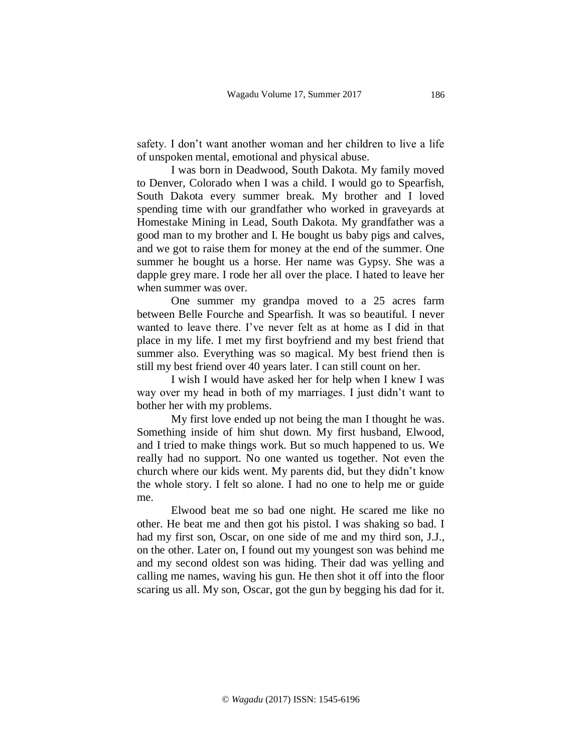safety. I don't want another woman and her children to live a life of unspoken mental, emotional and physical abuse.

I was born in Deadwood, South Dakota. My family moved to Denver, Colorado when I was a child. I would go to Spearfish, South Dakota every summer break. My brother and I loved spending time with our grandfather who worked in graveyards at Homestake Mining in Lead, South Dakota. My grandfather was a good man to my brother and I. He bought us baby pigs and calves, and we got to raise them for money at the end of the summer. One summer he bought us a horse. Her name was Gypsy. She was a dapple grey mare. I rode her all over the place. I hated to leave her when summer was over.

One summer my grandpa moved to a 25 acres farm between Belle Fourche and Spearfish. It was so beautiful. I never wanted to leave there. I've never felt as at home as I did in that place in my life. I met my first boyfriend and my best friend that summer also. Everything was so magical. My best friend then is still my best friend over 40 years later. I can still count on her.

I wish I would have asked her for help when I knew I was way over my head in both of my marriages. I just didn't want to bother her with my problems.

My first love ended up not being the man I thought he was. Something inside of him shut down. My first husband, Elwood, and I tried to make things work. But so much happened to us. We really had no support. No one wanted us together. Not even the church where our kids went. My parents did, but they didn't know the whole story. I felt so alone. I had no one to help me or guide me.

Elwood beat me so bad one night. He scared me like no other. He beat me and then got his pistol. I was shaking so bad. I had my first son, Oscar, on one side of me and my third son, J.J., on the other. Later on, I found out my youngest son was behind me and my second oldest son was hiding. Their dad was yelling and calling me names, waving his gun. He then shot it off into the floor scaring us all. My son, Oscar, got the gun by begging his dad for it.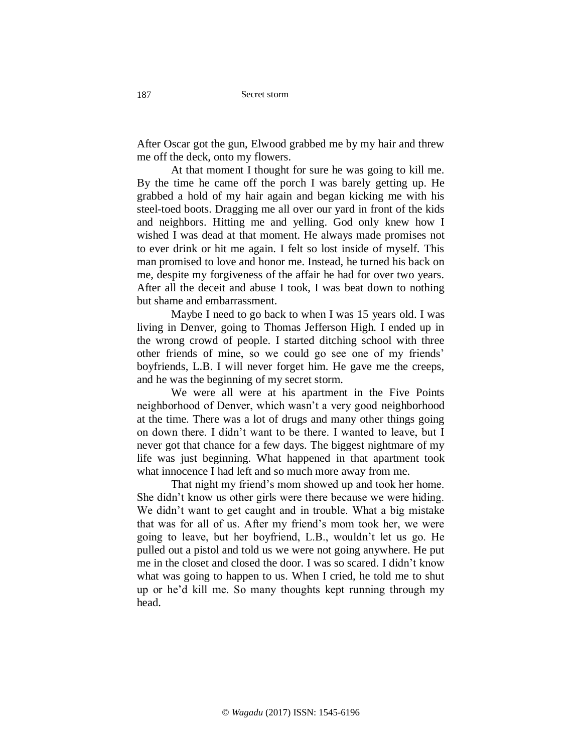Secret storm

After Oscar got the gun, Elwood grabbed me by my hair and threw me off the deck, onto my flowers.

At that moment I thought for sure he was going to kill me. By the time he came off the porch I was barely getting up. He grabbed a hold of my hair again and began kicking me with his steel-toed boots. Dragging me all over our yard in front of the kids and neighbors. Hitting me and yelling. God only knew how I wished I was dead at that moment. He always made promises not to ever drink or hit me again. I felt so lost inside of myself. This man promised to love and honor me. Instead, he turned his back on me, despite my forgiveness of the affair he had for over two years. After all the deceit and abuse I took, I was beat down to nothing but shame and embarrassment.

Maybe I need to go back to when I was 15 years old. I was living in Denver, going to Thomas Jefferson High. I ended up in the wrong crowd of people. I started ditching school with three other friends of mine, so we could go see one of my friends' boyfriends, L.B. I will never forget him. He gave me the creeps, and he was the beginning of my secret storm.

We were all were at his apartment in the Five Points neighborhood of Denver, which wasn't a very good neighborhood at the time. There was a lot of drugs and many other things going on down there. I didn't want to be there. I wanted to leave, but I never got that chance for a few days. The biggest nightmare of my life was just beginning. What happened in that apartment took what innocence I had left and so much more away from me.

That night my friend's mom showed up and took her home. She didn't know us other girls were there because we were hiding. We didn't want to get caught and in trouble. What a big mistake that was for all of us. After my friend's mom took her, we were going to leave, but her boyfriend, L.B., wouldn't let us go. He pulled out a pistol and told us we were not going anywhere. He put me in the closet and closed the door. I was so scared. I didn't know what was going to happen to us. When I cried, he told me to shut up or he'd kill me. So many thoughts kept running through my head.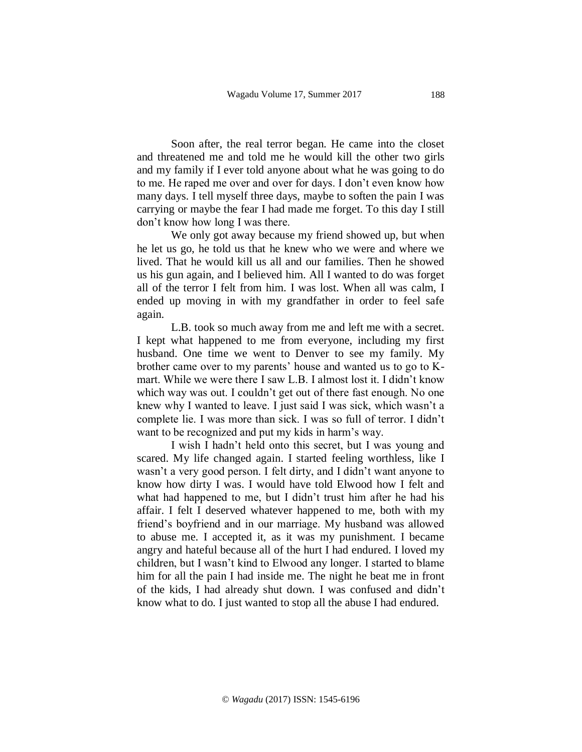Soon after, the real terror began. He came into the closet and threatened me and told me he would kill the other two girls and my family if I ever told anyone about what he was going to do to me. He raped me over and over for days. I don't even know how many days. I tell myself three days, maybe to soften the pain I was carrying or maybe the fear I had made me forget. To this day I still don't know how long I was there.

We only got away because my friend showed up, but when he let us go, he told us that he knew who we were and where we lived. That he would kill us all and our families. Then he showed us his gun again, and I believed him. All I wanted to do was forget all of the terror I felt from him. I was lost. When all was calm, I ended up moving in with my grandfather in order to feel safe again.

L.B. took so much away from me and left me with a secret. I kept what happened to me from everyone, including my first husband. One time we went to Denver to see my family. My brother came over to my parents' house and wanted us to go to Kmart. While we were there I saw L.B. I almost lost it. I didn't know which way was out. I couldn't get out of there fast enough. No one knew why I wanted to leave. I just said I was sick, which wasn't a complete lie. I was more than sick. I was so full of terror. I didn't want to be recognized and put my kids in harm's way.

I wish I hadn't held onto this secret, but I was young and scared. My life changed again. I started feeling worthless, like I wasn't a very good person. I felt dirty, and I didn't want anyone to know how dirty I was. I would have told Elwood how I felt and what had happened to me, but I didn't trust him after he had his affair. I felt I deserved whatever happened to me, both with my friend's boyfriend and in our marriage. My husband was allowed to abuse me. I accepted it, as it was my punishment. I became angry and hateful because all of the hurt I had endured. I loved my children, but I wasn't kind to Elwood any longer. I started to blame him for all the pain I had inside me. The night he beat me in front of the kids, I had already shut down. I was confused and didn't know what to do. I just wanted to stop all the abuse I had endured.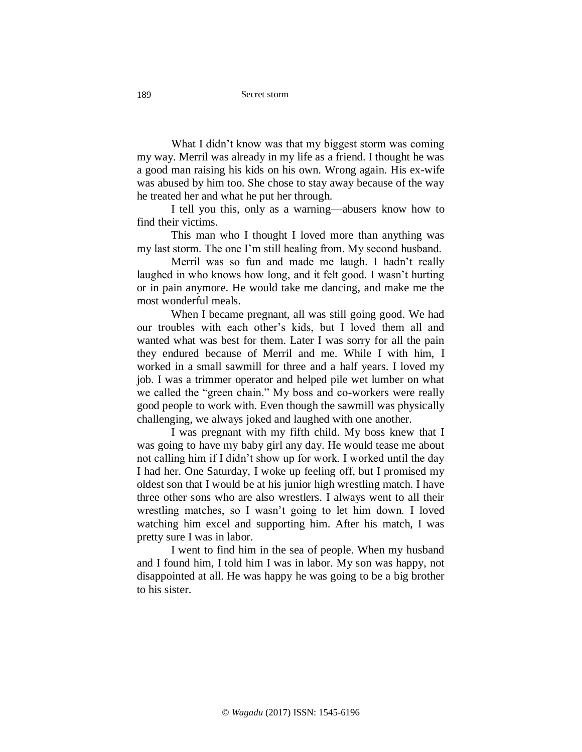What I didn't know was that my biggest storm was coming my way. Merril was already in my life as a friend. I thought he was a good man raising his kids on his own. Wrong again. His ex-wife was abused by him too. She chose to stay away because of the way he treated her and what he put her through.

I tell you this, only as a warning—abusers know how to find their victims.

This man who I thought I loved more than anything was my last storm. The one I'm still healing from. My second husband.

Merril was so fun and made me laugh. I hadn't really laughed in who knows how long, and it felt good. I wasn't hurting or in pain anymore. He would take me dancing, and make me the most wonderful meals.

When I became pregnant, all was still going good. We had our troubles with each other's kids, but I loved them all and wanted what was best for them. Later I was sorry for all the pain they endured because of Merril and me. While I with him, I worked in a small sawmill for three and a half years. I loved my job. I was a trimmer operator and helped pile wet lumber on what we called the "green chain." My boss and co-workers were really good people to work with. Even though the sawmill was physically challenging, we always joked and laughed with one another.

I was pregnant with my fifth child. My boss knew that I was going to have my baby girl any day. He would tease me about not calling him if I didn't show up for work. I worked until the day I had her. One Saturday, I woke up feeling off, but I promised my oldest son that I would be at his junior high wrestling match. I have three other sons who are also wrestlers. I always went to all their wrestling matches, so I wasn't going to let him down. I loved watching him excel and supporting him. After his match, I was pretty sure I was in labor.

I went to find him in the sea of people. When my husband and I found him, I told him I was in labor. My son was happy, not disappointed at all. He was happy he was going to be a big brother to his sister.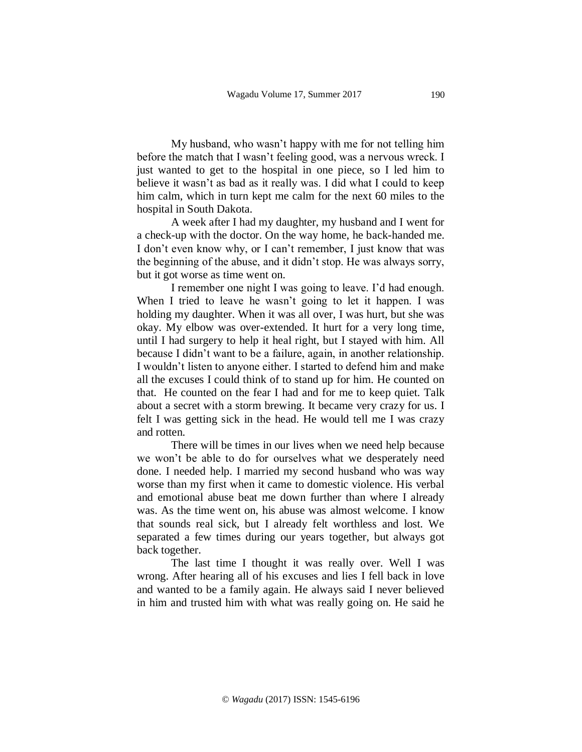My husband, who wasn't happy with me for not telling him before the match that I wasn't feeling good, was a nervous wreck. I just wanted to get to the hospital in one piece, so I led him to believe it wasn't as bad as it really was. I did what I could to keep him calm, which in turn kept me calm for the next 60 miles to the hospital in South Dakota.

A week after I had my daughter, my husband and I went for a check-up with the doctor. On the way home, he back-handed me. I don't even know why, or I can't remember, I just know that was the beginning of the abuse, and it didn't stop. He was always sorry, but it got worse as time went on.

I remember one night I was going to leave. I'd had enough. When I tried to leave he wasn't going to let it happen. I was holding my daughter. When it was all over, I was hurt, but she was okay. My elbow was over-extended. It hurt for a very long time, until I had surgery to help it heal right, but I stayed with him. All because I didn't want to be a failure, again, in another relationship. I wouldn't listen to anyone either. I started to defend him and make all the excuses I could think of to stand up for him. He counted on that. He counted on the fear I had and for me to keep quiet. Talk about a secret with a storm brewing. It became very crazy for us. I felt I was getting sick in the head. He would tell me I was crazy and rotten.

There will be times in our lives when we need help because we won't be able to do for ourselves what we desperately need done. I needed help. I married my second husband who was way worse than my first when it came to domestic violence. His verbal and emotional abuse beat me down further than where I already was. As the time went on, his abuse was almost welcome. I know that sounds real sick, but I already felt worthless and lost. We separated a few times during our years together, but always got back together.

The last time I thought it was really over. Well I was wrong. After hearing all of his excuses and lies I fell back in love and wanted to be a family again. He always said I never believed in him and trusted him with what was really going on. He said he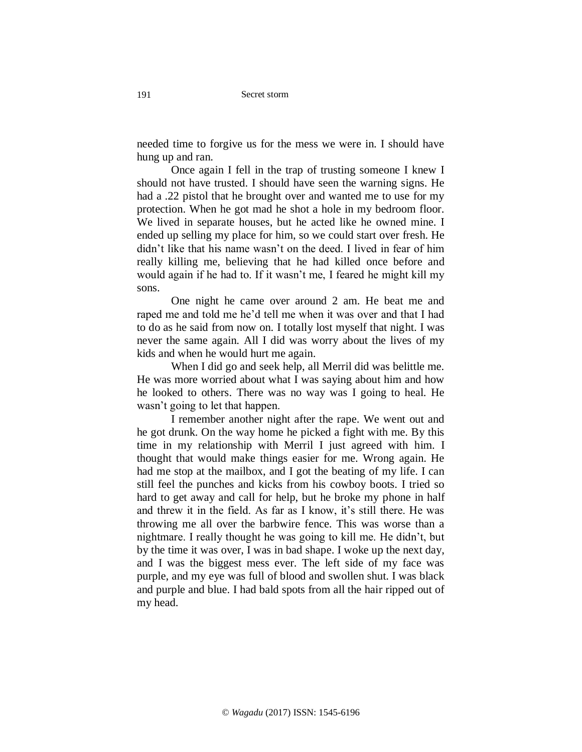needed time to forgive us for the mess we were in. I should have hung up and ran.

Once again I fell in the trap of trusting someone I knew I should not have trusted. I should have seen the warning signs. He had a .22 pistol that he brought over and wanted me to use for my protection. When he got mad he shot a hole in my bedroom floor. We lived in separate houses, but he acted like he owned mine. I ended up selling my place for him, so we could start over fresh. He didn't like that his name wasn't on the deed. I lived in fear of him really killing me, believing that he had killed once before and would again if he had to. If it wasn't me, I feared he might kill my sons.

One night he came over around 2 am. He beat me and raped me and told me he'd tell me when it was over and that I had to do as he said from now on. I totally lost myself that night. I was never the same again. All I did was worry about the lives of my kids and when he would hurt me again.

When I did go and seek help, all Merril did was belittle me. He was more worried about what I was saying about him and how he looked to others. There was no way was I going to heal. He wasn't going to let that happen.

I remember another night after the rape. We went out and he got drunk. On the way home he picked a fight with me. By this time in my relationship with Merril I just agreed with him. I thought that would make things easier for me. Wrong again. He had me stop at the mailbox, and I got the beating of my life. I can still feel the punches and kicks from his cowboy boots. I tried so hard to get away and call for help, but he broke my phone in half and threw it in the field. As far as I know, it's still there. He was throwing me all over the barbwire fence. This was worse than a nightmare. I really thought he was going to kill me. He didn't, but by the time it was over, I was in bad shape. I woke up the next day, and I was the biggest mess ever. The left side of my face was purple, and my eye was full of blood and swollen shut. I was black and purple and blue. I had bald spots from all the hair ripped out of my head.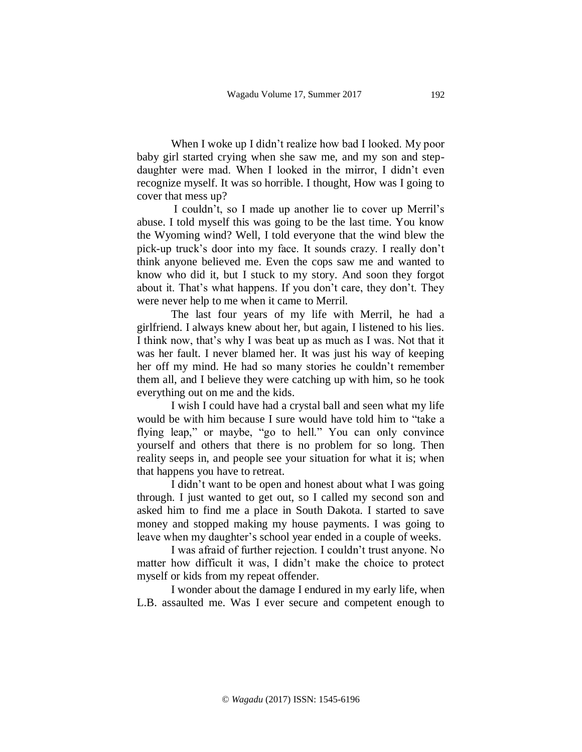When I woke up I didn't realize how bad I looked. My poor baby girl started crying when she saw me, and my son and stepdaughter were mad. When I looked in the mirror, I didn't even recognize myself. It was so horrible. I thought, How was I going to cover that mess up?

I couldn't, so I made up another lie to cover up Merril's abuse. I told myself this was going to be the last time. You know the Wyoming wind? Well, I told everyone that the wind blew the pick-up truck's door into my face. It sounds crazy. I really don't think anyone believed me. Even the cops saw me and wanted to know who did it, but I stuck to my story. And soon they forgot about it. That's what happens. If you don't care, they don't. They were never help to me when it came to Merril.

The last four years of my life with Merril, he had a girlfriend. I always knew about her, but again, I listened to his lies. I think now, that's why I was beat up as much as I was. Not that it was her fault. I never blamed her. It was just his way of keeping her off my mind. He had so many stories he couldn't remember them all, and I believe they were catching up with him, so he took everything out on me and the kids.

I wish I could have had a crystal ball and seen what my life would be with him because I sure would have told him to "take a flying leap," or maybe, "go to hell." You can only convince yourself and others that there is no problem for so long. Then reality seeps in, and people see your situation for what it is; when that happens you have to retreat.

I didn't want to be open and honest about what I was going through. I just wanted to get out, so I called my second son and asked him to find me a place in South Dakota. I started to save money and stopped making my house payments. I was going to leave when my daughter's school year ended in a couple of weeks.

I was afraid of further rejection. I couldn't trust anyone. No matter how difficult it was, I didn't make the choice to protect myself or kids from my repeat offender.

I wonder about the damage I endured in my early life, when L.B. assaulted me. Was I ever secure and competent enough to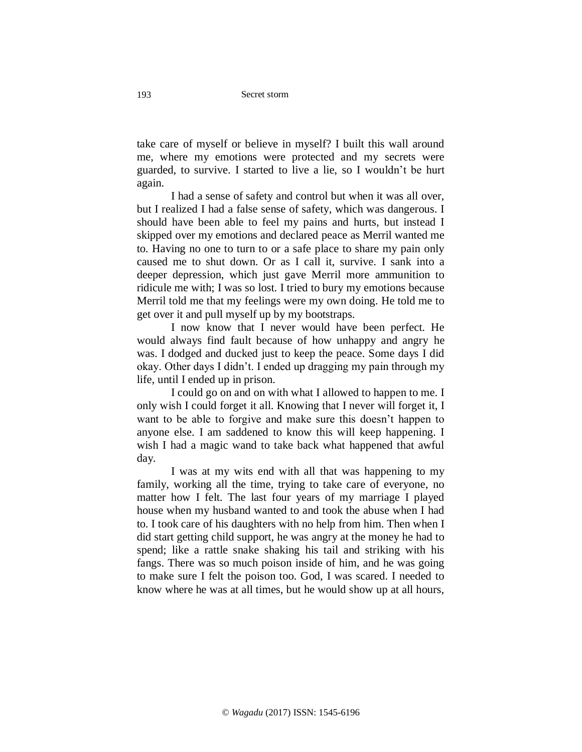take care of myself or believe in myself? I built this wall around me, where my emotions were protected and my secrets were guarded, to survive. I started to live a lie, so I wouldn't be hurt again.

I had a sense of safety and control but when it was all over, but I realized I had a false sense of safety, which was dangerous. I should have been able to feel my pains and hurts, but instead I skipped over my emotions and declared peace as Merril wanted me to. Having no one to turn to or a safe place to share my pain only caused me to shut down. Or as I call it, survive. I sank into a deeper depression, which just gave Merril more ammunition to ridicule me with; I was so lost. I tried to bury my emotions because Merril told me that my feelings were my own doing. He told me to get over it and pull myself up by my bootstraps.

I now know that I never would have been perfect. He would always find fault because of how unhappy and angry he was. I dodged and ducked just to keep the peace. Some days I did okay. Other days I didn't. I ended up dragging my pain through my life, until I ended up in prison.

I could go on and on with what I allowed to happen to me. I only wish I could forget it all. Knowing that I never will forget it, I want to be able to forgive and make sure this doesn't happen to anyone else. I am saddened to know this will keep happening. I wish I had a magic wand to take back what happened that awful day.

I was at my wits end with all that was happening to my family, working all the time, trying to take care of everyone, no matter how I felt. The last four years of my marriage I played house when my husband wanted to and took the abuse when I had to. I took care of his daughters with no help from him. Then when I did start getting child support, he was angry at the money he had to spend; like a rattle snake shaking his tail and striking with his fangs. There was so much poison inside of him, and he was going to make sure I felt the poison too. God, I was scared. I needed to know where he was at all times, but he would show up at all hours,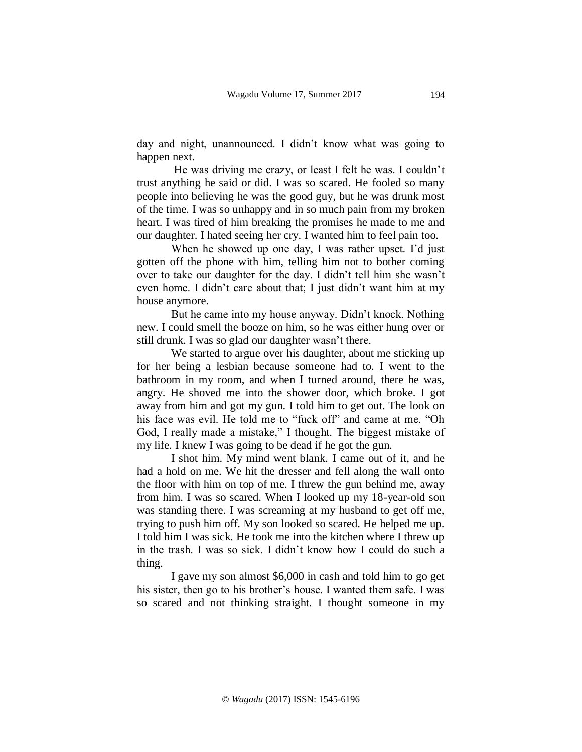day and night, unannounced. I didn't know what was going to happen next.

He was driving me crazy, or least I felt he was. I couldn't trust anything he said or did. I was so scared. He fooled so many people into believing he was the good guy, but he was drunk most of the time. I was so unhappy and in so much pain from my broken heart. I was tired of him breaking the promises he made to me and our daughter. I hated seeing her cry. I wanted him to feel pain too.

When he showed up one day, I was rather upset. I'd just gotten off the phone with him, telling him not to bother coming over to take our daughter for the day. I didn't tell him she wasn't even home. I didn't care about that; I just didn't want him at my house anymore.

But he came into my house anyway. Didn't knock. Nothing new. I could smell the booze on him, so he was either hung over or still drunk. I was so glad our daughter wasn't there.

We started to argue over his daughter, about me sticking up for her being a lesbian because someone had to. I went to the bathroom in my room, and when I turned around, there he was, angry. He shoved me into the shower door, which broke. I got away from him and got my gun. I told him to get out. The look on his face was evil. He told me to "fuck off" and came at me. "Oh God, I really made a mistake," I thought. The biggest mistake of my life. I knew I was going to be dead if he got the gun.

I shot him. My mind went blank. I came out of it, and he had a hold on me. We hit the dresser and fell along the wall onto the floor with him on top of me. I threw the gun behind me, away from him. I was so scared. When I looked up my 18-year-old son was standing there. I was screaming at my husband to get off me, trying to push him off. My son looked so scared. He helped me up. I told him I was sick. He took me into the kitchen where I threw up in the trash. I was so sick. I didn't know how I could do such a thing.

I gave my son almost \$6,000 in cash and told him to go get his sister, then go to his brother's house. I wanted them safe. I was so scared and not thinking straight. I thought someone in my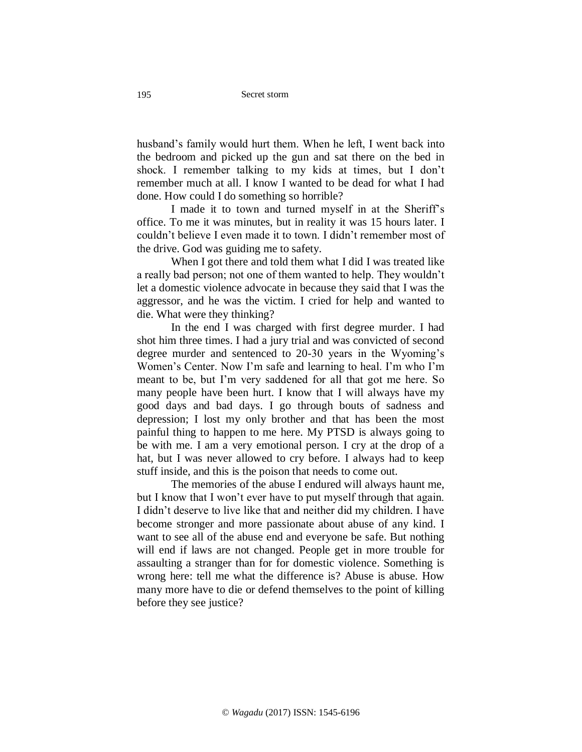husband's family would hurt them. When he left, I went back into the bedroom and picked up the gun and sat there on the bed in shock. I remember talking to my kids at times, but I don't remember much at all. I know I wanted to be dead for what I had done. How could I do something so horrible?

I made it to town and turned myself in at the Sheriff's office. To me it was minutes, but in reality it was 15 hours later. I couldn't believe I even made it to town. I didn't remember most of the drive. God was guiding me to safety.

When I got there and told them what I did I was treated like a really bad person; not one of them wanted to help. They wouldn't let a domestic violence advocate in because they said that I was the aggressor, and he was the victim. I cried for help and wanted to die. What were they thinking?

In the end I was charged with first degree murder. I had shot him three times. I had a jury trial and was convicted of second degree murder and sentenced to 20-30 years in the Wyoming's Women's Center. Now I'm safe and learning to heal. I'm who I'm meant to be, but I'm very saddened for all that got me here. So many people have been hurt. I know that I will always have my good days and bad days. I go through bouts of sadness and depression; I lost my only brother and that has been the most painful thing to happen to me here. My PTSD is always going to be with me. I am a very emotional person. I cry at the drop of a hat, but I was never allowed to cry before. I always had to keep stuff inside, and this is the poison that needs to come out.

The memories of the abuse I endured will always haunt me, but I know that I won't ever have to put myself through that again. I didn't deserve to live like that and neither did my children. I have become stronger and more passionate about abuse of any kind. I want to see all of the abuse end and everyone be safe. But nothing will end if laws are not changed. People get in more trouble for assaulting a stranger than for for domestic violence. Something is wrong here: tell me what the difference is? Abuse is abuse. How many more have to die or defend themselves to the point of killing before they see justice?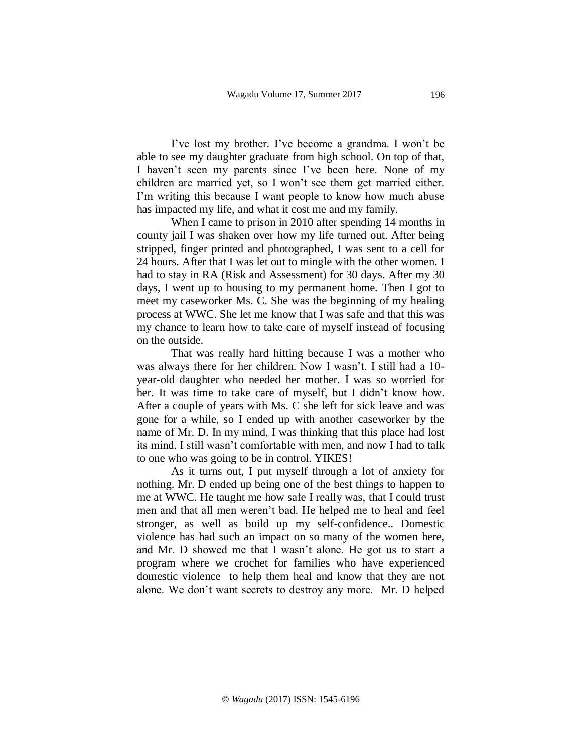I've lost my brother. I've become a grandma. I won't be able to see my daughter graduate from high school. On top of that, I haven't seen my parents since I've been here. None of my children are married yet, so I won't see them get married either. I'm writing this because I want people to know how much abuse has impacted my life, and what it cost me and my family.

When I came to prison in 2010 after spending 14 months in county jail I was shaken over how my life turned out. After being stripped, finger printed and photographed, I was sent to a cell for 24 hours. After that I was let out to mingle with the other women. I had to stay in RA (Risk and Assessment) for 30 days. After my 30 days, I went up to housing to my permanent home. Then I got to meet my caseworker Ms. C. She was the beginning of my healing process at WWC. She let me know that I was safe and that this was my chance to learn how to take care of myself instead of focusing on the outside.

That was really hard hitting because I was a mother who was always there for her children. Now I wasn't. I still had a 10 year-old daughter who needed her mother. I was so worried for her. It was time to take care of myself, but I didn't know how. After a couple of years with Ms. C she left for sick leave and was gone for a while, so I ended up with another caseworker by the name of Mr. D. In my mind, I was thinking that this place had lost its mind. I still wasn't comfortable with men, and now I had to talk to one who was going to be in control. YIKES!

As it turns out, I put myself through a lot of anxiety for nothing. Mr. D ended up being one of the best things to happen to me at WWC. He taught me how safe I really was, that I could trust men and that all men weren't bad. He helped me to heal and feel stronger, as well as build up my self-confidence.. Domestic violence has had such an impact on so many of the women here, and Mr. D showed me that I wasn't alone. He got us to start a program where we crochet for families who have experienced domestic violence to help them heal and know that they are not alone. We don't want secrets to destroy any more. Mr. D helped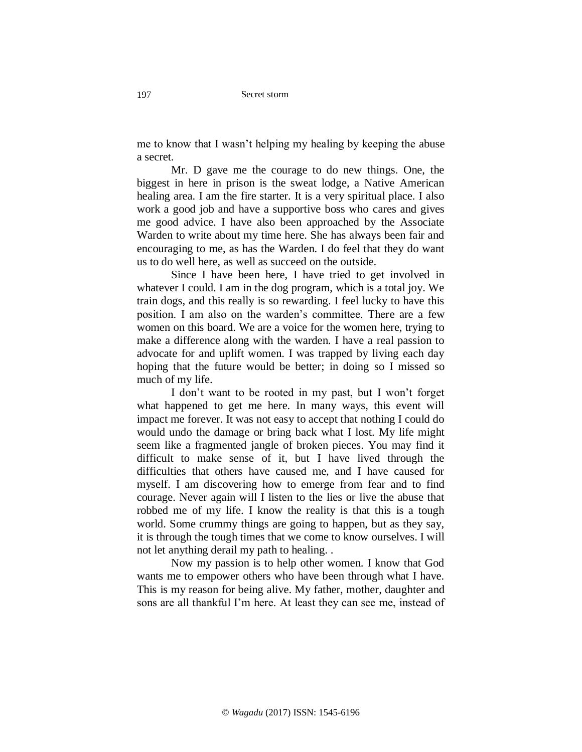me to know that I wasn't helping my healing by keeping the abuse a secret.

Mr. D gave me the courage to do new things. One, the biggest in here in prison is the sweat lodge, a Native American healing area. I am the fire starter. It is a very spiritual place. I also work a good job and have a supportive boss who cares and gives me good advice. I have also been approached by the Associate Warden to write about my time here. She has always been fair and encouraging to me, as has the Warden. I do feel that they do want us to do well here, as well as succeed on the outside.

Since I have been here, I have tried to get involved in whatever I could. I am in the dog program, which is a total joy. We train dogs, and this really is so rewarding. I feel lucky to have this position. I am also on the warden's committee. There are a few women on this board. We are a voice for the women here, trying to make a difference along with the warden. I have a real passion to advocate for and uplift women. I was trapped by living each day hoping that the future would be better; in doing so I missed so much of my life.

I don't want to be rooted in my past, but I won't forget what happened to get me here. In many ways, this event will impact me forever. It was not easy to accept that nothing I could do would undo the damage or bring back what I lost. My life might seem like a fragmented jangle of broken pieces. You may find it difficult to make sense of it, but I have lived through the difficulties that others have caused me, and I have caused for myself. I am discovering how to emerge from fear and to find courage. Never again will I listen to the lies or live the abuse that robbed me of my life. I know the reality is that this is a tough world. Some crummy things are going to happen, but as they say, it is through the tough times that we come to know ourselves. I will not let anything derail my path to healing. .

Now my passion is to help other women. I know that God wants me to empower others who have been through what I have. This is my reason for being alive. My father, mother, daughter and sons are all thankful I'm here. At least they can see me, instead of